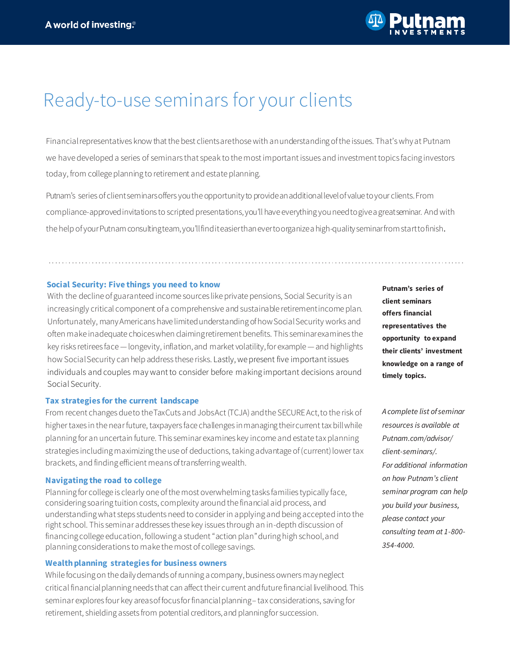

# Ready-to-use seminars for your clients

Financial representatives know that the best clients are those with an understanding of the issues. That's why at Putnam we have developed a series of seminars that speak to the most important issues and investment topics facing investors today, from college planning to retirement and estate planning.

Putnam's series of clientseminarsoffers youthe opportunityto provideanadditionallevelof value to your clients. From compliance-approved invitations to scripted presentations, you'll have everything youneedtogiveagreatseminar. Andwith the help of yourPutnamconsultingteam,you'llfinditeasier thanevertoorganizeahigh-qualityseminarfromstarttofinish.

#### **Social Security: Five things you need to know**

With the decline of guaranteed income sources like private pensions, Social Security is an increasingly critical component of a comprehensive and sustainable retirement income plan. Unfortunately, manyAmericans have limitedunderstanding ofhowSocialSecurity works and often make inadequate choiceswhen claimingretirement benefits. This seminarexamines the key risks retirees face —longevity, inflation,and market volatility,for example —and highlights how Social Security can help address these risks. Lastly, we present five important issues individuals and couples may want to consider before making important decisions around Social Security.

### **Tax strategies for the current landscape**

From recent changes dueto the TaxCuts and JobsAct (TCJA) and the SECURE Act, to the risk of higher taxes in the near future, taxpayers face challenges in managing theircurrent tax bill while planning for an uncertain future. This seminar examines key income and estate tax planning strategies including maximizing the use of deductions, taking advantage of (current) lower tax brackets, and finding efficient means of transferring wealth.

#### **Navigating the road to college**

Planning for college is clearly one of the most overwhelming tasks families typically face, considering soaring tuition costs, complexity around the financial aid process, and understanding what steps students need to consider in applying and being accepted into the right school. This seminar addresses these key issues through an in-depth discussion of financing college education, following a student "action plan"during high school, and planning considerations to make the most of college savings.

## **Wealth planning strategies for business owners**

While focusing on the daily demands of running a company, business owners may neglect critical financial planning needs that can affect their current and future financial livelihood. This seminar explores four key areasoffocusforfinancialplanning– tax considerations, saving for retirement, shielding assets from potential creditors, and planningfor succession.

**Putnam's series of client seminars offers financial representatives the opportunity to expand their clients' investment knowledge on a range of timely topics.**

*A complete list of seminar resources is available at Putnam.com/advisor/ client-seminars/. For additional information on how Putnam's client seminar program can help you build your business, please contact your consulting team at 1-800- 354-4000.*